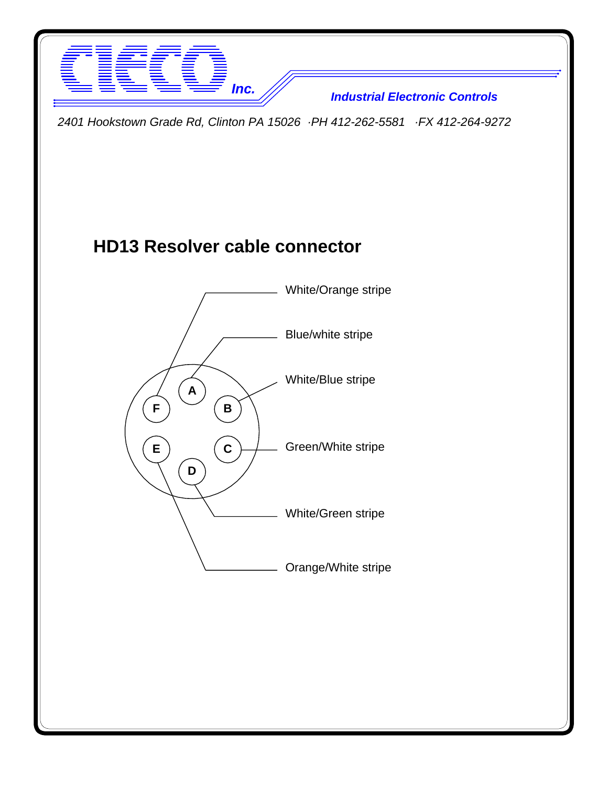

*Inc. Industrial Electronic Controls*

*2401 Hookstown Grade Rd, Clinton PA 15026 ·PH 412-262-5581 ·FX 412-264-9272*

## **HD13 Resolver cable connector**

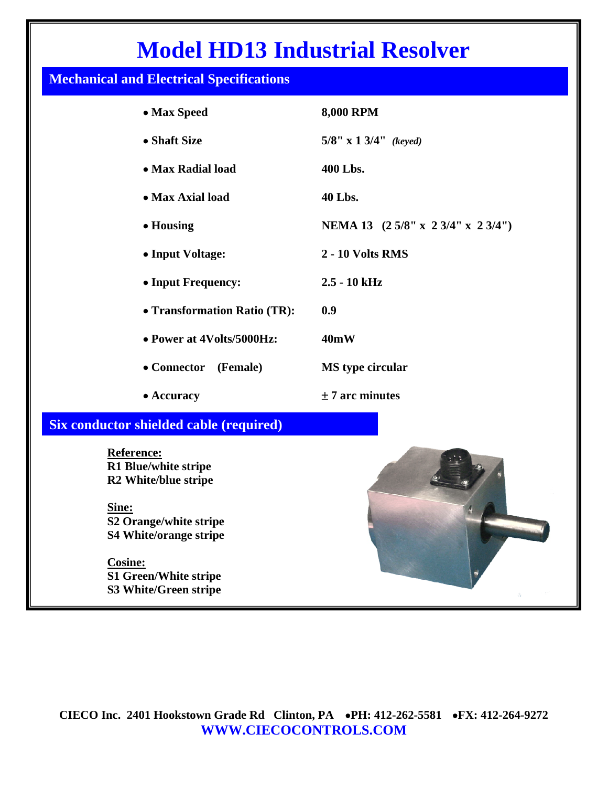## **Model HD13 Industrial Resolver**

## **Mechanical and Electrical Specifications**

| • Max Speed                                                                                                                                                                          | <b>8,000 RPM</b>                |
|--------------------------------------------------------------------------------------------------------------------------------------------------------------------------------------|---------------------------------|
| • Shaft Size                                                                                                                                                                         | 5/8" x 1 3/4" (keyed)           |
| • Max Radial load                                                                                                                                                                    | 400 Lbs.                        |
| • Max Axial load                                                                                                                                                                     | 40 Lbs.                         |
| • Housing                                                                                                                                                                            | NEMA 13 (25/8" x 23/4" x 23/4") |
| • Input Voltage:                                                                                                                                                                     | 2 - 10 Volts RMS                |
| • Input Frequency:                                                                                                                                                                   | $2.5 - 10$ kHz                  |
| • Transformation Ratio (TR):                                                                                                                                                         | 0.9                             |
| • Power at 4Volts/5000Hz:                                                                                                                                                            | 40mW                            |
| • Connector<br>(Female)                                                                                                                                                              | <b>MS</b> type circular         |
| • Accuracy                                                                                                                                                                           | $± 7$ arc minutes               |
| <b>Six conductor shielded cable (required)</b>                                                                                                                                       |                                 |
| Reference:<br>R1 Blue/white stripe<br>R2 White/blue stripe<br>Sine:<br>S2 Orange/white stripe<br>S4 White/orange stripe<br>Cosine:<br>S1 Green/White stripe<br>S3 White/Green stripe |                                 |

**CIECO Inc. 2401 Hookstown Grade Rd Clinton, PA** •**PH: 412-262-5581** •**FX: 412-264-9272 WWW.CIECOCONTROLS.COM**